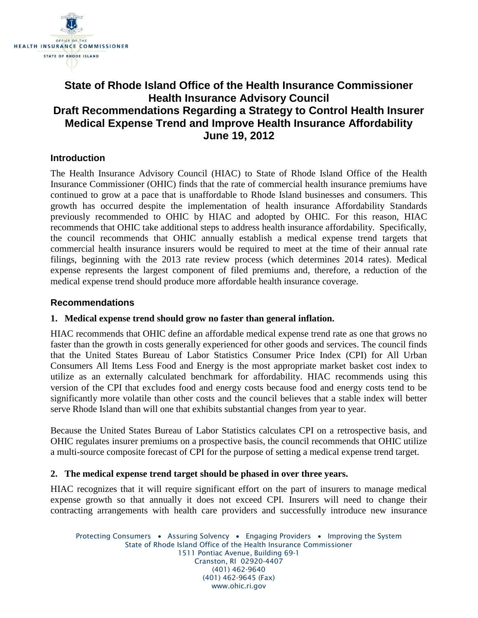

# **State of Rhode Island Office of the Health Insurance Commissioner Health Insurance Advisory Council Draft Recommendations Regarding a Strategy to Control Health Insurer Medical Expense Trend and Improve Health Insurance Affordability June 19, 2012**

## **Introduction**

The Health Insurance Advisory Council (HIAC) to State of Rhode Island Office of the Health Insurance Commissioner (OHIC) finds that the rate of commercial health insurance premiums have continued to grow at a pace that is unaffordable to Rhode Island businesses and consumers. This growth has occurred despite the implementation of health insurance Affordability Standards previously recommended to OHIC by HIAC and adopted by OHIC. For this reason, HIAC recommends that OHIC take additional steps to address health insurance affordability. Specifically, the council recommends that OHIC annually establish a medical expense trend targets that commercial health insurance insurers would be required to meet at the time of their annual rate filings, beginning with the 2013 rate review process (which determines 2014 rates). Medical expense represents the largest component of filed premiums and, therefore, a reduction of the medical expense trend should produce more affordable health insurance coverage.

## **Recommendations**

## **1. Medical expense trend should grow no faster than general inflation.**

HIAC recommends that OHIC define an affordable medical expense trend rate as one that grows no faster than the growth in costs generally experienced for other goods and services. The council finds that the United States Bureau of Labor Statistics Consumer Price Index (CPI) for All Urban Consumers All Items Less Food and Energy is the most appropriate market basket cost index to utilize as an externally calculated benchmark for affordability. HIAC recommends using this version of the CPI that excludes food and energy costs because food and energy costs tend to be significantly more volatile than other costs and the council believes that a stable index will better serve Rhode Island than will one that exhibits substantial changes from year to year.

Because the United States Bureau of Labor Statistics calculates CPI on a retrospective basis, and OHIC regulates insurer premiums on a prospective basis, the council recommends that OHIC utilize a multi-source composite forecast of CPI for the purpose of setting a medical expense trend target.

#### **2. The medical expense trend target should be phased in over three years.**

HIAC recognizes that it will require significant effort on the part of insurers to manage medical expense growth so that annually it does not exceed CPI. Insurers will need to change their contracting arrangements with health care providers and successfully introduce new insurance

Protecting Consumers • Assuring Solvency • Engaging Providers • Improving the System State of Rhode Island Office of the Health Insurance Commissioner 1511 Pontiac Avenue, Building 69-1 Cranston, RI 02920-4407 (401) 462-9640 (401) 462-9645 (Fax) www.ohic.ri.gov